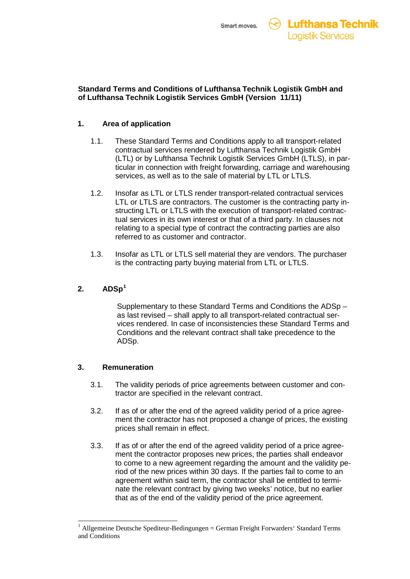### **Standard Terms and Conditions of Lufthansa Technik Logistik GmbH and of Lufthansa Technik Logistik Services GmbH (Version 11/11)**

# **1. Area of application**

- 1.1. These Standard Terms and Conditions apply to all transport-related contractual services rendered by Lufthansa Technik Logistik GmbH (LTL) or by Lufthansa Technik Logistik Services GmbH (LTLS), in particular in connection with freight forwarding, carriage and warehousing services, as well as to the sale of material by LTL or LTLS.
- 1.2. Insofar as LTL or LTLS render transport-related contractual services LTL or LTLS are contractors. The customer is the contracting party instructing LTL or LTLS with the execution of transport-related contractual services in its own interest or that of a third party. In clauses not relating to a special type of contract the contracting parties are also referred to as customer and contractor.
- 1.3. Insofar as LTL or LTLS sell material they are vendors. The purchaser is the contracting party buying material from LTL or LTLS.

# **2. ADSp[1](#page-0-0)**

Supplementary to these Standard Terms and Conditions the ADSp – as last revised – shall apply to all transport-related contractual services rendered. In case of inconsistencies these Standard Terms and Conditions and the relevant contract shall take precedence to the ADSp.

# **3. Remuneration**

- 3.1. The validity periods of price agreements between customer and contractor are specified in the relevant contract.
- 3.2. If as of or after the end of the agreed validity period of a price agreement the contractor has not proposed a change of prices, the existing prices shall remain in effect.
- 3.3. If as of or after the end of the agreed validity period of a price agreement the contractor proposes new prices, the parties shall endeavor to come to a new agreement regarding the amount and the validity period of the new prices within 30 days. If the parties fail to come to an agreement within said term, the contractor shall be entitled to terminate the relevant contract by giving two weeks' notice, but no earlier that as of the end of the validity period of the price agreement.

<span id="page-0-0"></span> <sup>1</sup> Allgemeine Deutsche Spediteur-Bedingungen = German Freight Forwarders' Standard Terms and Conditions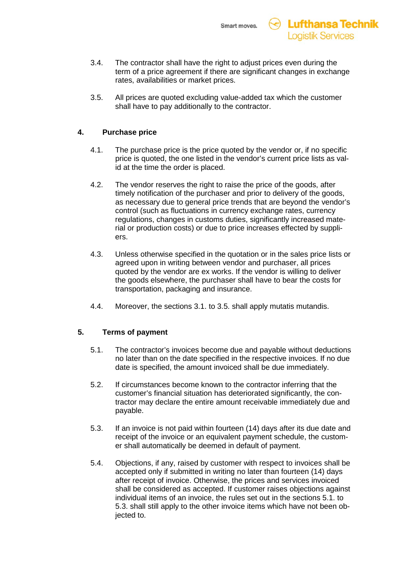

- 3.4. The contractor shall have the right to adjust prices even during the term of a price agreement if there are significant changes in exchange rates, availabilities or market prices.
- 3.5. All prices are quoted excluding value-added tax which the customer shall have to pay additionally to the contractor.

### **4. Purchase price**

- 4.1. The purchase price is the price quoted by the vendor or, if no specific price is quoted, the one listed in the vendor's current price lists as valid at the time the order is placed.
- 4.2. The vendor reserves the right to raise the price of the goods, after timely notification of the purchaser and prior to delivery of the goods, as necessary due to general price trends that are beyond the vendor's control (such as fluctuations in currency exchange rates, currency regulations, changes in customs duties, significantly increased material or production costs) or due to price increases effected by suppliers.
- 4.3. Unless otherwise specified in the quotation or in the sales price lists or agreed upon in writing between vendor and purchaser, all prices quoted by the vendor are ex works. If the vendor is willing to deliver the goods elsewhere, the purchaser shall have to bear the costs for transportation, packaging and insurance.
- 4.4. Moreover, the sections 3.1. to 3.5. shall apply mutatis mutandis.

### **5. Terms of payment**

- 5.1. The contractor's invoices become due and payable without deductions no later than on the date specified in the respective invoices. If no due date is specified, the amount invoiced shall be due immediately.
- 5.2. If circumstances become known to the contractor inferring that the customer's financial situation has deteriorated significantly, the contractor may declare the entire amount receivable immediately due and payable.
- 5.3. If an invoice is not paid within fourteen (14) days after its due date and receipt of the invoice or an equivalent payment schedule, the customer shall automatically be deemed in default of payment.
- 5.4. Objections, if any, raised by customer with respect to invoices shall be accepted only if submitted in writing no later than fourteen (14) days after receipt of invoice. Otherwise, the prices and services invoiced shall be considered as accepted. If customer raises objections against individual items of an invoice, the rules set out in the sections 5.1. to 5.3. shall still apply to the other invoice items which have not been objected to.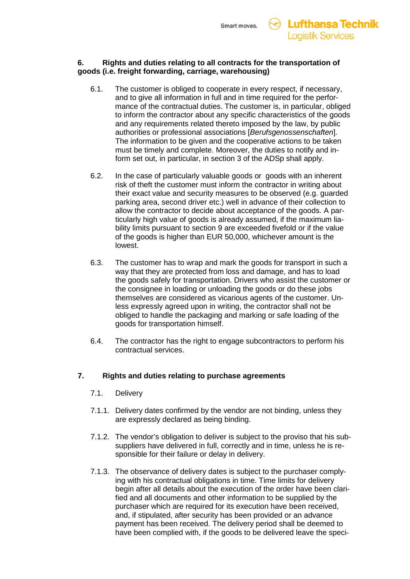

### **6. Rights and duties relating to all contracts for the transportation of goods (i.e. freight forwarding, carriage, warehousing)**

- 6.1. The customer is obliged to cooperate in every respect, if necessary, and to give all information in full and in time required for the performance of the contractual duties. The customer is, in particular, obliged to inform the contractor about any specific characteristics of the goods and any requirements related thereto imposed by the law, by public authorities or professional associations [*Berufsgenossenschaften*]. The information to be given and the cooperative actions to be taken must be timely and complete. Moreover, the duties to notify and inform set out, in particular, in section 3 of the ADSp shall apply.
- 6.2. In the case of particularly valuable goods or goods with an inherent risk of theft the customer must inform the contractor in writing about their exact value and security measures to be observed (e.g. guarded parking area, second driver etc.) well in advance of their collection to allow the contractor to decide about acceptance of the goods. A particularly high value of goods is already assumed, if the maximum liability limits pursuant to section 9 are exceeded fivefold or if the value of the goods is higher than EUR 50,000, whichever amount is the lowest.
- 6.3. The customer has to wrap and mark the goods for transport in such a way that they are protected from loss and damage, and has to load the goods safely for transportation. Drivers who assist the customer or the consignee in loading or unloading the goods or do these jobs themselves are considered as vicarious agents of the customer. Unless expressly agreed upon in writing, the contractor shall not be obliged to handle the packaging and marking or safe loading of the goods for transportation himself.
- 6.4. The contractor has the right to engage subcontractors to perform his contractual services.

### **7. Rights and duties relating to purchase agreements**

- 7.1. Delivery
- 7.1.1. Delivery dates confirmed by the vendor are not binding, unless they are expressly declared as being binding.
- 7.1.2. The vendor's obligation to deliver is subject to the proviso that his subsuppliers have delivered in full, correctly and in time, unless he is responsible for their failure or delay in delivery.
- 7.1.3. The observance of delivery dates is subject to the purchaser complying with his contractual obligations in time. Time limits for delivery begin after all details about the execution of the order have been clarified and all documents and other information to be supplied by the purchaser which are required for its execution have been received, and, if stipulated, after security has been provided or an advance payment has been received. The delivery period shall be deemed to have been complied with, if the goods to be delivered leave the speci-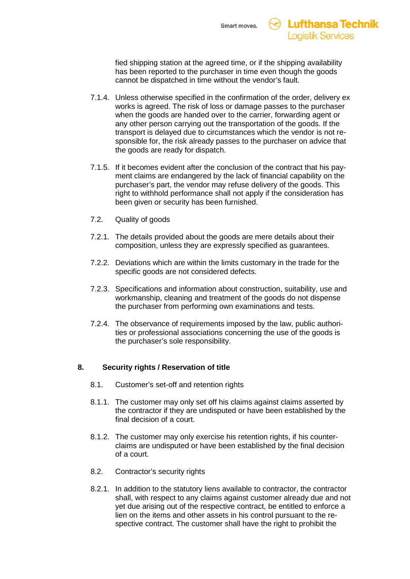fied shipping station at the agreed time, or if the shipping availability has been reported to the purchaser in time even though the goods cannot be dispatched in time without the vendor's fault.

- 7.1.4. Unless otherwise specified in the confirmation of the order, delivery ex works is agreed. The risk of loss or damage passes to the purchaser when the goods are handed over to the carrier, forwarding agent or any other person carrying out the transportation of the goods. If the transport is delayed due to circumstances which the vendor is not responsible for, the risk already passes to the purchaser on advice that the goods are ready for dispatch.
- 7.1.5. If it becomes evident after the conclusion of the contract that his payment claims are endangered by the lack of financial capability on the purchaser's part, the vendor may refuse delivery of the goods. This right to withhold performance shall not apply if the consideration has been given or security has been furnished.
- 7.2. Quality of goods
- 7.2.1. The details provided about the goods are mere details about their composition, unless they are expressly specified as guarantees.
- 7.2.2. Deviations which are within the limits customary in the trade for the specific goods are not considered defects.
- 7.2.3. Specifications and information about construction, suitability, use and workmanship, cleaning and treatment of the goods do not dispense the purchaser from performing own examinations and tests.
- 7.2.4. The observance of requirements imposed by the law, public authorities or professional associations concerning the use of the goods is the purchaser's sole responsibility.

# **8. Security rights / Reservation of title**

- 8.1. Customer's set-off and retention rights
- 8.1.1. The customer may only set off his claims against claims asserted by the contractor if they are undisputed or have been established by the final decision of a court.
- 8.1.2. The customer may only exercise his retention rights, if his counterclaims are undisputed or have been established by the final decision of a court.
- 8.2. Contractor's security rights
- 8.2.1. In addition to the statutory liens available to contractor, the contractor shall, with respect to any claims against customer already due and not yet due arising out of the respective contract, be entitled to enforce a lien on the items and other assets in his control pursuant to the respective contract. The customer shall have the right to prohibit the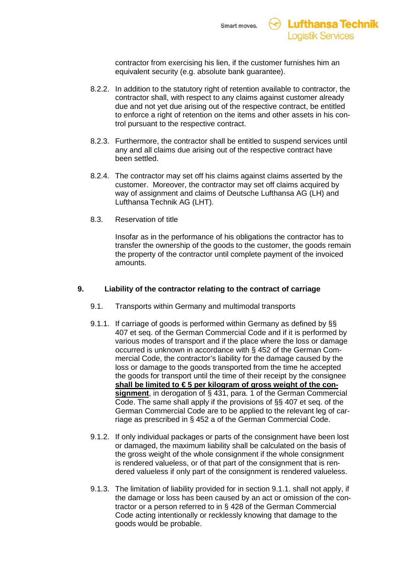

contractor from exercising his lien, if the customer furnishes him an equivalent security (e.g. absolute bank guarantee).

- 8.2.2. In addition to the statutory right of retention available to contractor, the contractor shall, with respect to any claims against customer already due and not yet due arising out of the respective contract, be entitled to enforce a right of retention on the items and other assets in his control pursuant to the respective contract.
- 8.2.3. Furthermore, the contractor shall be entitled to suspend services until any and all claims due arising out of the respective contract have been settled.
- 8.2.4. The contractor may set off his claims against claims asserted by the customer. Moreover, the contractor may set off claims acquired by way of assignment and claims of Deutsche Lufthansa AG (LH) and Lufthansa Technik AG (LHT).
- 8.3. Reservation of title

Insofar as in the performance of his obligations the contractor has to transfer the ownership of the goods to the customer, the goods remain the property of the contractor until complete payment of the invoiced amounts.

### **9. Liability of the contractor relating to the contract of carriage**

- 9.1. Transports within Germany and multimodal transports
- 9.1.1. If carriage of goods is performed within Germany as defined by §§ 407 et seq. of the German Commercial Code and if it is performed by various modes of transport and if the place where the loss or damage occurred is unknown in accordance with § 452 of the German Commercial Code, the contractor's liability for the damage caused by the loss or damage to the goods transported from the time he accepted the goods for transport until the time of their receipt by the consignee shall be limited to €5 per kilogram of gross weight of the consignment, in derogation of § 431, para. 1 of the German Commercial Code. The same shall apply if the provisions of §§ 407 et seq. of the German Commercial Code are to be applied to the relevant leg of carriage as prescribed in § 452 a of the German Commercial Code.
- 9.1.2. If only individual packages or parts of the consignment have been lost or damaged, the maximum liability shall be calculated on the basis of the gross weight of the whole consignment if the whole consignment is rendered valueless, or of that part of the consignment that is rendered valueless if only part of the consignment is rendered valueless.
- 9.1.3. The limitation of liability provided for in section 9.1.1. shall not apply, if the damage or loss has been caused by an act or omission of the contractor or a person referred to in § 428 of the German Commercial Code acting intentionally or recklessly knowing that damage to the goods would be probable.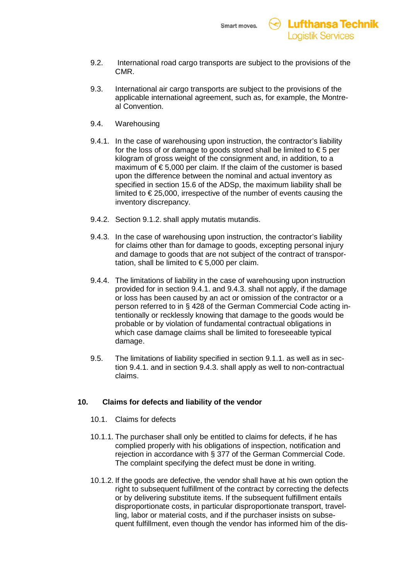

- 9.2. International road cargo transports are subject to the provisions of the CMR.
- 9.3. International air cargo transports are subject to the provisions of the applicable international agreement, such as, for example, the Montreal Convention.
- 9.4. Warehousing
- 9.4.1. In the case of warehousing upon instruction, the contractor's liability for the loss of or damage to goods stored shall be limited to  $\epsilon$  5 per kilogram of gross weight of the consignment and, in addition, to a maximum of € 5,000 per claim. If the claim of the customer is based upon the difference between the nominal and actual inventory as specified in section 15.6 of the ADSp, the maximum liability shall be limited to € 25,000, irrespective of the number of events causing the inventory discrepancy.
- 9.4.2. Section 9.1.2. shall apply mutatis mutandis.
- 9.4.3. In the case of warehousing upon instruction, the contractor's liability for claims other than for damage to goods, excepting personal injury and damage to goods that are not subject of the contract of transportation, shall be limited to  $\epsilon$  5,000 per claim.
- 9.4.4. The limitations of liability in the case of warehousing upon instruction provided for in section 9.4.1. and 9.4.3. shall not apply, if the damage or loss has been caused by an act or omission of the contractor or a person referred to in § 428 of the German Commercial Code acting intentionally or recklessly knowing that damage to the goods would be probable or by violation of fundamental contractual obligations in which case damage claims shall be limited to foreseeable typical damage.
- 9.5. The limitations of liability specified in section 9.1.1. as well as in section 9.4.1. and in section 9.4.3. shall apply as well to non-contractual claims.

### **10. Claims for defects and liability of the vendor**

- 10.1. Claims for defects
- 10.1.1. The purchaser shall only be entitled to claims for defects, if he has complied properly with his obligations of inspection, notification and rejection in accordance with § 377 of the German Commercial Code. The complaint specifying the defect must be done in writing.
- 10.1.2. If the goods are defective, the vendor shall have at his own option the right to subsequent fulfillment of the contract by correcting the defects or by delivering substitute items. If the subsequent fulfillment entails disproportionate costs, in particular disproportionate transport, travelling, labor or material costs, and if the purchaser insists on subsequent fulfillment, even though the vendor has informed him of the dis-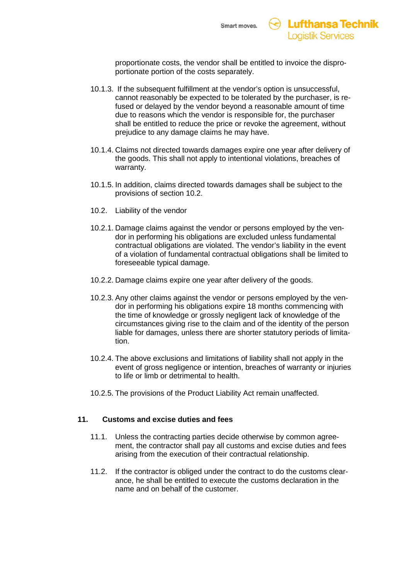

proportionate costs, the vendor shall be entitled to invoice the disproportionate portion of the costs separately.

- 10.1.3. If the subsequent fulfillment at the vendor's option is unsuccessful, cannot reasonably be expected to be tolerated by the purchaser, is refused or delayed by the vendor beyond a reasonable amount of time due to reasons which the vendor is responsible for, the purchaser shall be entitled to reduce the price or revoke the agreement, without prejudice to any damage claims he may have.
- 10.1.4. Claims not directed towards damages expire one year after delivery of the goods. This shall not apply to intentional violations, breaches of warranty.
- 10.1.5. In addition, claims directed towards damages shall be subject to the provisions of section 10.2.
- 10.2. Liability of the vendor
- 10.2.1. Damage claims against the vendor or persons employed by the vendor in performing his obligations are excluded unless fundamental contractual obligations are violated. The vendor's liability in the event of a violation of fundamental contractual obligations shall be limited to foreseeable typical damage.
- 10.2.2. Damage claims expire one year after delivery of the goods.
- 10.2.3. Any other claims against the vendor or persons employed by the vendor in performing his obligations expire 18 months commencing with the time of knowledge or grossly negligent lack of knowledge of the circumstances giving rise to the claim and of the identity of the person liable for damages, unless there are shorter statutory periods of limitation.
- 10.2.4. The above exclusions and limitations of liability shall not apply in the event of gross negligence or intention, breaches of warranty or injuries to life or limb or detrimental to health.
- 10.2.5. The provisions of the Product Liability Act remain unaffected.

### **11. Customs and excise duties and fees**

- 11.1. Unless the contracting parties decide otherwise by common agreement, the contractor shall pay all customs and excise duties and fees arising from the execution of their contractual relationship.
- 11.2. If the contractor is obliged under the contract to do the customs clearance, he shall be entitled to execute the customs declaration in the name and on behalf of the customer.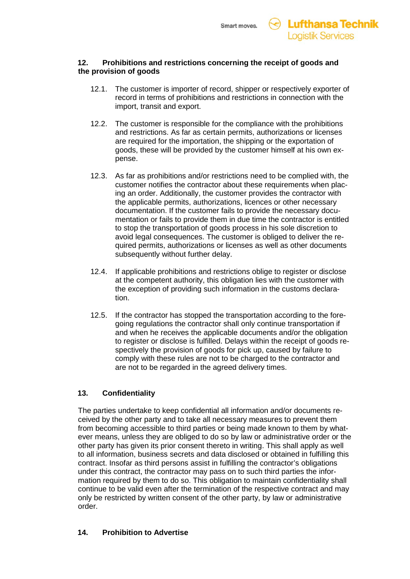

### **12. Prohibitions and restrictions concerning the receipt of goods and the provision of goods**

- 12.1. The customer is importer of record, shipper or respectively exporter of record in terms of prohibitions and restrictions in connection with the import, transit and export.
- 12.2. The customer is responsible for the compliance with the prohibitions and restrictions. As far as certain permits, authorizations or licenses are required for the importation, the shipping or the exportation of goods, these will be provided by the customer himself at his own expense.
- 12.3. As far as prohibitions and/or restrictions need to be complied with, the customer notifies the contractor about these requirements when placing an order. Additionally, the customer provides the contractor with the applicable permits, authorizations, licences or other necessary documentation. If the customer fails to provide the necessary documentation or fails to provide them in due time the contractor is entitled to stop the transportation of goods process in his sole discretion to avoid legal consequences. The customer is obliged to deliver the required permits, authorizations or licenses as well as other documents subsequently without further delay.
- 12.4. If applicable prohibitions and restrictions oblige to register or disclose at the competent authority, this obligation lies with the customer with the exception of providing such information in the customs declaration.
- 12.5. If the contractor has stopped the transportation according to the foregoing regulations the contractor shall only continue transportation if and when he receives the applicable documents and/or the obligation to register or disclose is fulfilled. Delays within the receipt of goods respectively the provision of goods for pick up, caused by failure to comply with these rules are not to be charged to the contractor and are not to be regarded in the agreed delivery times.

### **13. Confidentiality**

The parties undertake to keep confidential all information and/or documents received by the other party and to take all necessary measures to prevent them from becoming accessible to third parties or being made known to them by whatever means, unless they are obliged to do so by law or administrative order or the other party has given its prior consent thereto in writing. This shall apply as well to all information, business secrets and data disclosed or obtained in fulfilling this contract. Insofar as third persons assist in fulfilling the contractor's obligations under this contract, the contractor may pass on to such third parties the information required by them to do so. This obligation to maintain confidentiality shall continue to be valid even after the termination of the respective contract and may only be restricted by written consent of the other party, by law or administrative order.

### **14. Prohibition to Advertise**